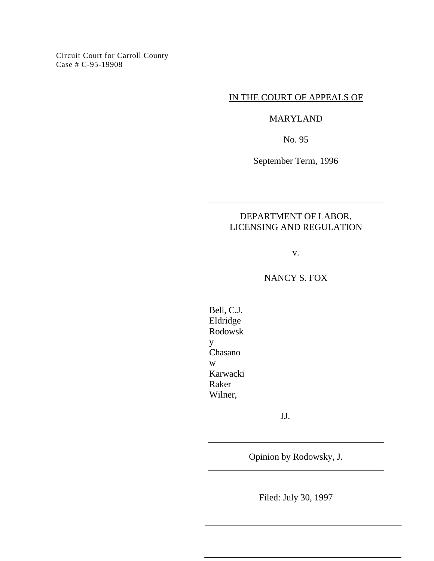Circuit Court for Carroll County Case # C-95-19908

## IN THE COURT OF APPEALS OF

# MARYLAND

No. 95

September Term, 1996

# DEPARTMENT OF LABOR, LICENSING AND REGULATION

v.

NANCY S. FOX

Bell, C.J. Eldridge Rodowsk y Chasano w Karwacki Raker Wilner,

JJ.

Opinion by Rodowsky, J.

Filed: July 30, 1997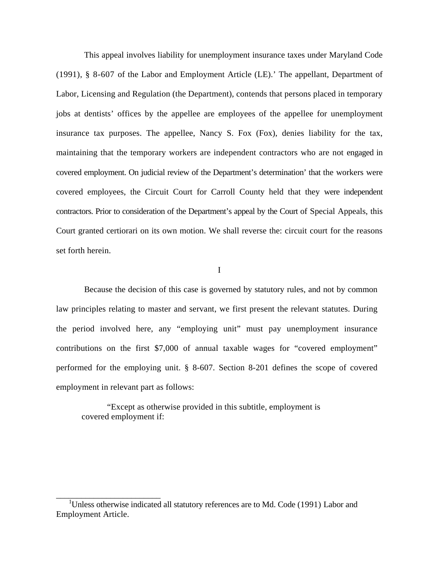This appeal involves liability for unemployment insurance taxes under Maryland Code (1991), § 8-607 of the Labor and Employment Article (LE).' The appellant, Department of Labor, Licensing and Regulation (the Department), contends that persons placed in temporary jobs at dentists' offices by the appellee are employees of the appellee for unemployment insurance tax purposes. The appellee, Nancy S. Fox (Fox), denies liability for the tax, maintaining that the temporary workers are independent contractors who are not engaged in covered employment. On judicial review of the Department's determination' that the workers were covered employees, the Circuit Court for Carroll County held that they were independent contractors. Prior to consideration of the Department's appeal by the Court of Special Appeals, this Court granted certiorari on its own motion. We shall reverse the: circuit court for the reasons set forth herein.

I

Because the decision of this case is governed by statutory rules, and not by common law principles relating to master and servant, we first present the relevant statutes. During the period involved here, any "employing unit" must pay unemployment insurance contributions on the first \$7,000 of annual taxable wages for "covered employment" performed for the employing unit. § 8-607. Section 8-201 defines the scope of covered employment in relevant part as follows:

"Except as otherwise provided in this subtitle, employment is covered employment if:

<sup>&</sup>lt;sup>1</sup>Unless otherwise indicated all statutory references are to Md. Code (1991) Labor and Employment Article.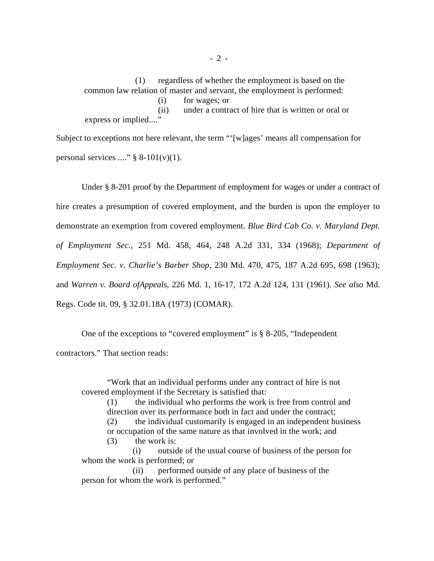(1) regardless of whether the employment is based on the common law relation of master and servant, the employment is performed:

(i) for wages; or

(ii) under a contract of hire that is written or oral or express or implied...."

Subject to exceptions not here relevant, the term "'[w]ages' means all compensation for personal services ...."  $\S$  8-101(v)(1).

Under § 8-201 proof by the Department of employment for wages or under a contract of hire creates a presumption of covered employment, and the burden is upon the employer to demonstrate an exemption from covered employment. *Blue Bird Cab Co. v. Maryland Dept. of Employment Sec.,* 251 Md. 458, 464, 248 A.2d 331, 334 (1968); *Department of Employment Sec. v. Charlie's Barber Shop,* 230 Md. 470, 475, 187 A.2d 695, 698 (1963); and *Warren v. Board ofAppeals,* 226 Md. 1, 16-17, 172 A.2d 124, 131 (1961). *See also* Md. Regs. Code tit. 09, § 32.01.18A (1973) (COMAR).

One of the exceptions to "covered employment" is § 8-205, "Independent contractors." That section reads:

"Work that an individual performs under any contract of hire is not covered employment if the Secretary is satisfied that:

(1) the individual who performs the work is free from control and direction over its performance both in fact and under the contract; (2) the individual customarily is engaged in an independent business or occupation of the same nature as that involved in the work; and (3) the work is:

(i) outside of the usual course of business of the person for whom the work is performed; or

(ii) performed outside of any place of business of the person for whom the work is performed."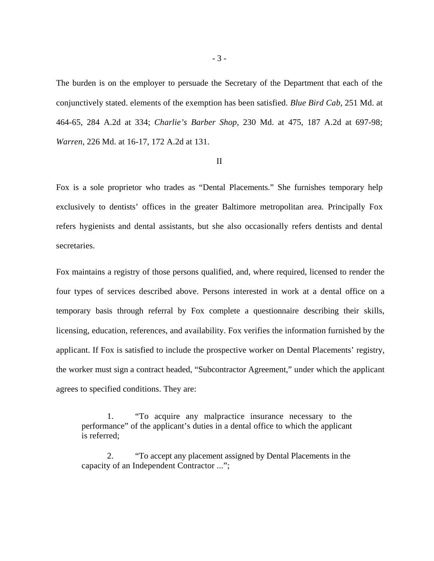The burden is on the employer to persuade the Secretary of the Department that each of the conjunctively stated. elements of the exemption has been satisfied. *Blue Bird Cab,* 251 Md. at 464-65, 284 A.2d at 334; *Charlie's Barber Shop,* 230 Md. at 475, 187 A.2d at 697-98; *Warren,* 226 Md. at 16-17, 172 A.2d at 131.

### II

Fox is a sole proprietor who trades as "Dental Placements." She furnishes temporary help exclusively to dentists' offices in the greater Baltimore metropolitan area. Principally Fox refers hygienists and dental assistants, but she also occasionally refers dentists and dental secretaries.

Fox maintains a registry of those persons qualified, and, where required, licensed to render the four types of services described above. Persons interested in work at a dental office on a temporary basis through referral by Fox complete a questionnaire describing their skills, licensing, education, references, and availability. Fox verifies the information furnished by the applicant. If Fox is satisfied to include the prospective worker on Dental Placements' registry, the worker must sign a contract headed, "Subcontractor Agreement," under which the applicant agrees to specified conditions. They are:

1. "To acquire any malpractice insurance necessary to the performance" of the applicant's duties in a dental office to which the applicant is referred;

2. "To accept any placement assigned by Dental Placements in the capacity of an Independent Contractor ...";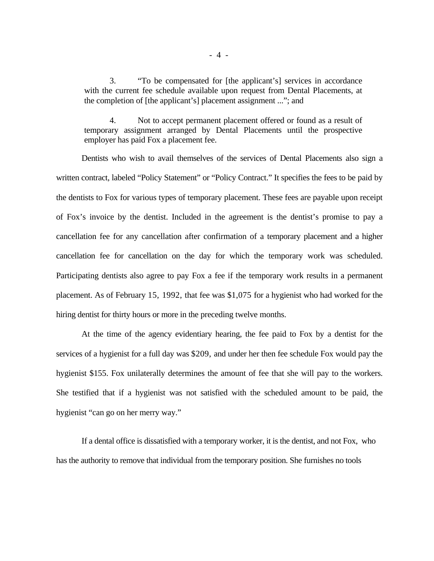3. "To be compensated for [the applicant's] services in accordance with the current fee schedule available upon request from Dental Placements, at the completion of [the applicant's] placement assignment ..."; and

4. Not to accept permanent placement offered or found as a result of temporary assignment arranged by Dental Placements until the prospective employer has paid Fox a placement fee.

Dentists who wish to avail themselves of the services of Dental Placements also sign a written contract, labeled "Policy Statement" or "Policy Contract." It specifies the fees to be paid by the dentists to Fox for various types of temporary placement. These fees are payable upon receipt of Fox's invoice by the dentist. Included in the agreement is the dentist's promise to pay a cancellation fee for any cancellation after confirmation of a temporary placement and a higher cancellation fee for cancellation on the day for which the temporary work was scheduled. Participating dentists also agree to pay Fox a fee if the temporary work results in a permanent placement. As of February 15, 1992, that fee was \$1,075 for a hygienist who had worked for the hiring dentist for thirty hours or more in the preceding twelve months.

At the time of the agency evidentiary hearing, the fee paid to Fox by a dentist for the services of a hygienist for a full day was \$209, and under her then fee schedule Fox would pay the hygienist \$155. Fox unilaterally determines the amount of fee that she will pay to the workers. She testified that if a hygienist was not satisfied with the scheduled amount to be paid, the hygienist "can go on her merry way."

If a dental office is dissatisfied with a temporary worker, it is the dentist, and not Fox, who has the authority to remove that individual from the temporary position. She furnishes no tools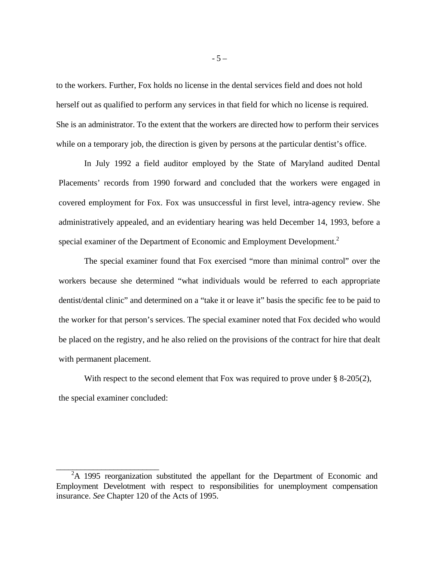to the workers. Further, Fox holds no license in the dental services field and does not hold herself out as qualified to perform any services in that field for which no license is required. She is an administrator. To the extent that the workers are directed how to perform their services while on a temporary job, the direction is given by persons at the particular dentist's office.

In July 1992 a field auditor employed by the State of Maryland audited Dental Placements' records from 1990 forward and concluded that the workers were engaged in covered employment for Fox. Fox was unsuccessful in first level, intra-agency review. She administratively appealed, and an evidentiary hearing was held December 14, 1993, before a special examiner of the Department of Economic and Employment Development.<sup>2</sup>

The special examiner found that Fox exercised "more than minimal control" over the workers because she determined "what individuals would be referred to each appropriate dentist/dental clinic" and determined on a "take it or leave it" basis the specific fee to be paid to the worker for that person's services. The special examiner noted that Fox decided who would be placed on the registry, and he also relied on the provisions of the contract for hire that dealt with permanent placement.

With respect to the second element that Fox was required to prove under  $\S$  8-205(2), the special examiner concluded:

<sup>&</sup>lt;sup>2</sup>A 1995 reorganization substituted the appellant for the Department of Economic and Employment Develotment with respect to responsibilities for unemployment compensation insurance. *See* Chapter 120 of the Acts of 1995.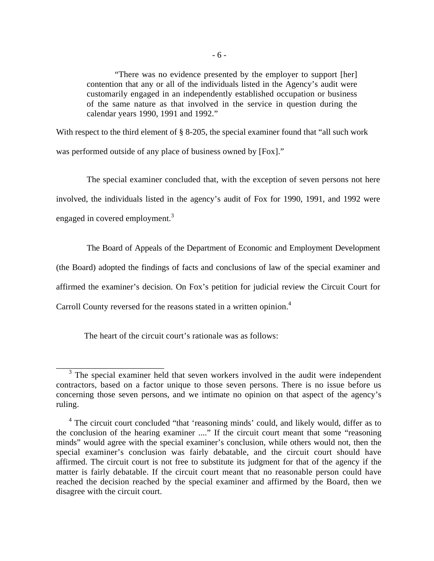"There was no evidence presented by the employer to support [her] contention that any or all of the individuals listed in the Agency's audit were customarily engaged in an independently established occupation or business of the same nature as that involved in the service in question during the calendar years 1990, 1991 and 1992."

With respect to the third element of § 8-205, the special examiner found that "all such work" was performed outside of any place of business owned by [Fox]."

The special examiner concluded that, with the exception of seven persons not here involved, the individuals listed in the agency's audit of Fox for 1990, 1991, and 1992 were engaged in covered employment.<sup>3</sup>

The Board of Appeals of the Department of Economic and Employment Development (the Board) adopted the findings of facts and conclusions of law of the special examiner and affirmed the examiner's decision. On Fox's petition for judicial review the Circuit Court for Carroll County reversed for the reasons stated in a written opinion.<sup>4</sup>

The heart of the circuit court's rationale was as follows:

<sup>&</sup>lt;sup>3</sup> The special examiner held that seven workers involved in the audit were independent contractors, based on a factor unique to those seven persons. There is no issue before us concerning those seven persons, and we intimate no opinion on that aspect of the agency's ruling.

<sup>&</sup>lt;sup>4</sup> The circuit court concluded "that 'reasoning minds' could, and likely would, differ as to the conclusion of the hearing examiner ...." If the circuit court meant that some "reasoning minds" would agree with the special examiner's conclusion, while others would not, then the special examiner's conclusion was fairly debatable, and the circuit court should have affirmed. The circuit court is not free to substitute its judgment for that of the agency if the matter is fairly debatable. If the circuit court meant that no reasonable person could have reached the decision reached by the special examiner and affirmed by the Board, then we disagree with the circuit court.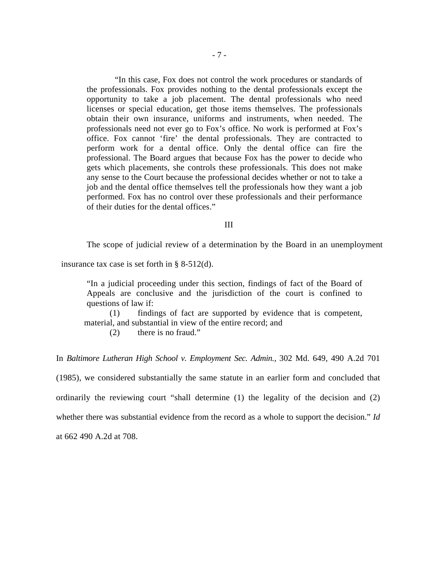"In this case, Fox does not control the work procedures or standards of the professionals. Fox provides nothing to the dental professionals except the opportunity to take a job placement. The dental professionals who need licenses or special education, get those items themselves. The professionals obtain their own insurance, uniforms and instruments, when needed. The professionals need not ever go to Fox's office. No work is performed at Fox's office. Fox cannot 'fire' the dental professionals. They are contracted to perform work for a dental office. Only the dental office can fire the professional. The Board argues that because Fox has the power to decide who gets which placements, she controls these professionals. This does not make any sense to the Court because the professional decides whether or not to take a job and the dental office themselves tell the professionals how they want a job performed. Fox has no control over these professionals and their performance of their duties for the dental offices."

#### III

The scope of judicial review of a determination by the Board in an unemployment

insurance tax case is set forth in § 8-512(d).

"In a judicial proceeding under this section, findings of fact of the Board of Appeals are conclusive and the jurisdiction of the court is confined to questions of law if:

(1) findings of fact are supported by evidence that is competent, material, and substantial in view of the entire record; and

(2) there is no fraud."

In *Baltimore Lutheran High School v. Employment Sec. Admin.,* 302 Md. 649, 490 A.2d 701

(1985), we considered substantially the same statute in an earlier form and concluded that

ordinarily the reviewing court "shall determine (1) the legality of the decision and (2)

whether there was substantial evidence from the record as a whole to support the decision." *Id* 

at 662 490 A.2d at 708.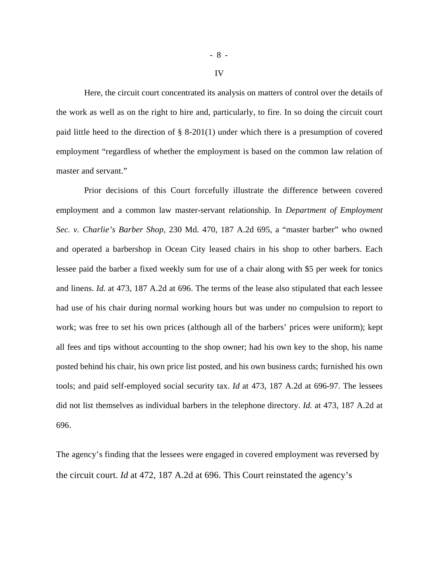Here, the circuit court concentrated its analysis on matters of control over the details of the work as well as on the right to hire and, particularly, to fire. In so doing the circuit court paid little heed to the direction of § 8-201(1) under which there is a presumption of covered employment "regardless of whether the employment is based on the common law relation of master and servant."

Prior decisions of this Court forcefully illustrate the difference between covered employment and a common law master-servant relationship. In *Department of Employment Sec. v. Charlie's Barber Shop,* 230 Md. 470, 187 A.2d 695, a "master barber" who owned and operated a barbershop in Ocean City leased chairs in his shop to other barbers. Each lessee paid the barber a fixed weekly sum for use of a chair along with \$5 per week for tonics and linens. *Id.* at 473, 187 A.2d at 696. The terms of the lease also stipulated that each lessee had use of his chair during normal working hours but was under no compulsion to report to work; was free to set his own prices (although all of the barbers' prices were uniform); kept all fees and tips without accounting to the shop owner; had his own key to the shop, his name posted behind his chair, his own price list posted, and his own business cards; furnished his own tools; and paid self-employed social security tax. *Id* at 473, 187 A.2d at 696-97. The lessees did not list themselves as individual barbers in the telephone directory. *Id.* at 473, 187 A.2d at 696.

The agency's finding that the lessees were engaged in covered employment was reversed by the circuit court. *Id* at 472, 187 A.2d at 696. This Court reinstated the agency's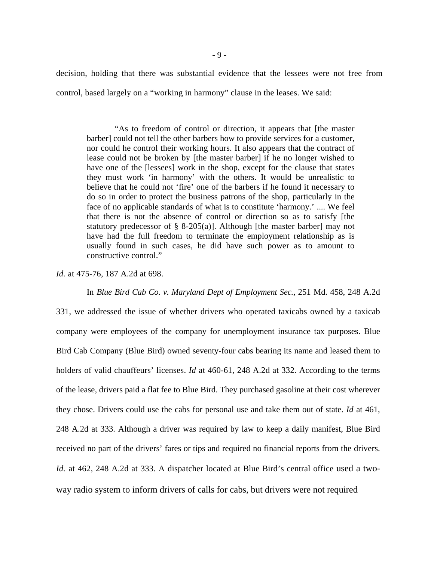decision, holding that there was substantial evidence that the lessees were not free from control, based largely on a "working in harmony" clause in the leases. We said:

"As to freedom of control or direction, it appears that [the master barber] could not tell the other barbers how to provide services for a customer, nor could he control their working hours. It also appears that the contract of lease could not be broken by [the master barber] if he no longer wished to have one of the [lessees] work in the shop, except for the clause that states they must work 'in harmony' with the others. It would be unrealistic to believe that he could not 'fire' one of the barbers if he found it necessary to do so in order to protect the business patrons of the shop, particularly in the face of no applicable standards of what is to constitute 'harmony.' .... We feel that there is not the absence of control or direction so as to satisfy [the statutory predecessor of  $\S$  8-205(a)]. Although [the master barber] may not have had the full freedom to terminate the employment relationship as is usually found in such cases, he did have such power as to amount to constructive control."

*Id.* at 475-76, 187 A.2d at 698.

In *Blue Bird Cab Co. v. Maryland Dept of Employment Sec.,* 251 Md. 458, 248 A.2d

331, we addressed the issue of whether drivers who operated taxicabs owned by a taxicab company were employees of the company for unemployment insurance tax purposes. Blue Bird Cab Company (Blue Bird) owned seventy-four cabs bearing its name and leased them to holders of valid chauffeurs' licenses. *Id* at 460-61, 248 A.2d at 332. According to the terms of the lease, drivers paid a flat fee to Blue Bird. They purchased gasoline at their cost wherever they chose. Drivers could use the cabs for personal use and take them out of state. *Id* at 461, 248 A.2d at 333. Although a driver was required by law to keep a daily manifest, Blue Bird received no part of the drivers' fares or tips and required no financial reports from the drivers. *Id.* at 462, 248 A.2d at 333. A dispatcher located at Blue Bird's central office used a twoway radio system to inform drivers of calls for cabs, but drivers were not required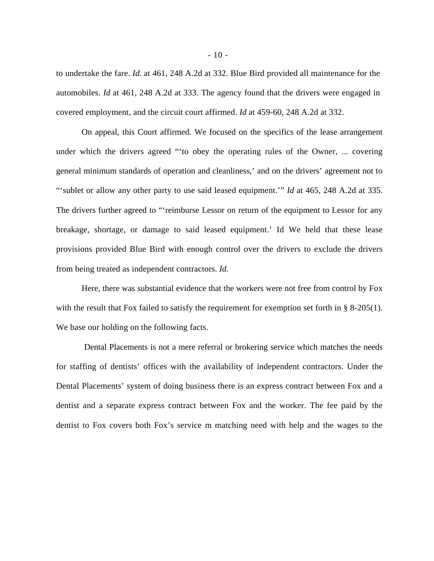to undertake the fare. *Id.* at 461, 248 A.2d at 332. Blue Bird provided all maintenance for the automobiles. *Id* at 461, 248 A.2d at 333. The agency found that the drivers were engaged in covered employment, and the circuit court affirmed. *Id* at 459-60, 248 A.2d at 332.

On appeal, this Court affirmed. We focused on the specifics of the lease arrangement under which the drivers agreed "'to obey the operating rules of the Owner, ... covering general minimum standards of operation and cleanliness,' and on the drivers' agreement not to "'sublet or allow any other party to use said leased equipment.'" *Id* at 465, 248 A.2d at 335. The drivers further agreed to "'reimburse Lessor on return of the equipment to Lessor for any breakage, shortage, or damage to said leased equipment.' Id We held that these lease provisions provided Blue Bird with enough control over the drivers to exclude the drivers from being treated as independent contractors. *Id.* 

Here, there was substantial evidence that the workers were not free from control by Fox with the result that Fox failed to satisfy the requirement for exemption set forth in § 8-205(1). We base our holding on the following facts.

Dental Placements is not a mere referral or brokering service which matches the needs for staffing of dentists' offices with the availability of independent contractors. Under the Dental Placements' system of doing business there is an express contract between Fox and a dentist and a separate express contract between Fox and the worker. The fee paid by the dentist to Fox covers both Fox's service m matching need with help and the wages to the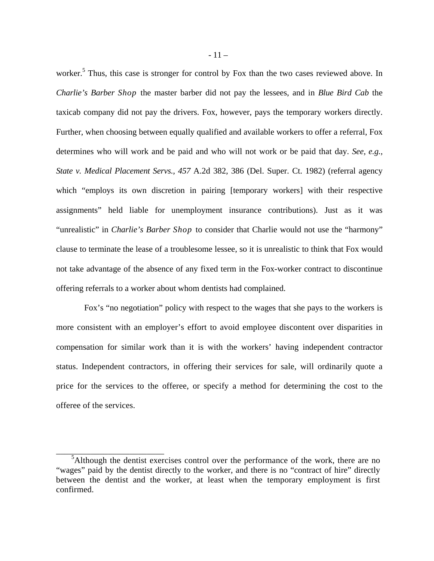worker.<sup>5</sup> Thus, this case is stronger for control by Fox than the two cases reviewed above. In *Charlie's Barber Shop* the master barber did not pay the lessees, and in *Blue Bird Cab* the taxicab company did not pay the drivers. Fox, however, pays the temporary workers directly. Further, when choosing between equally qualified and available workers to offer a referral, Fox determines who will work and be paid and who will not work or be paid that day. *See, e.g., State v. Medical Placement Servs., 457* A.2d 382, 386 (Del. Super. Ct. 1982) (referral agency which "employs its own discretion in pairing [temporary workers] with their respective assignments" held liable for unemployment insurance contributions). Just as it was "unrealistic" in *Charlie's Barber Shop* to consider that Charlie would not use the "harmony" clause to terminate the lease of a troublesome lessee, so it is unrealistic to think that Fox would not take advantage of the absence of any fixed term in the Fox-worker contract to discontinue offering referrals to a worker about whom dentists had complained.

Fox's "no negotiation" policy with respect to the wages that she pays to the workers is more consistent with an employer's effort to avoid employee discontent over disparities in compensation for similar work than it is with the workers' having independent contractor status. Independent contractors, in offering their services for sale, will ordinarily quote a price for the services to the offeree, or specify a method for determining the cost to the offeree of the services.

<sup>&</sup>lt;sup>5</sup>Although the dentist exercises control over the performance of the work, there are no "wages" paid by the dentist directly to the worker, and there is no "contract of hire" directly between the dentist and the worker, at least when the temporary employment is first confirmed.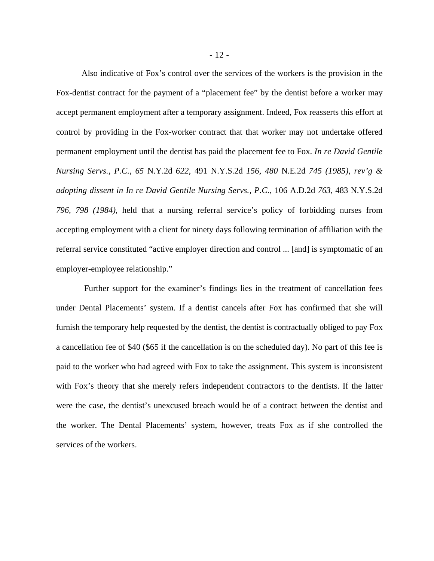Also indicative of Fox's control over the services of the workers is the provision in the Fox-dentist contract for the payment of a "placement fee" by the dentist before a worker may accept permanent employment after a temporary assignment. Indeed, Fox reasserts this effort at control by providing in the Fox-worker contract that that worker may not undertake offered permanent employment until the dentist has paid the placement fee to Fox. *In re David Gentile Nursing Servs., P.C., 65* N.Y.2d *622,* 491 N.Y.S.2d *156, 480* N.E.2d *745 (1985), rev'g & adopting dissent in In re David Gentile Nursing Servs., P.C.,* 106 A.D.2d *763,* 483 N.Y.S.2d *796, 798 (1984),* held that a nursing referral service's policy of forbidding nurses from accepting employment with a client for ninety days following termination of affiliation with the referral service constituted "active employer direction and control ... [and] is symptomatic of an employer-employee relationship."

Further support for the examiner's findings lies in the treatment of cancellation fees under Dental Placements' system. If a dentist cancels after Fox has confirmed that she will furnish the temporary help requested by the dentist, the dentist is contractually obliged to pay Fox a cancellation fee of \$40 (\$65 if the cancellation is on the scheduled day). No part of this fee is paid to the worker who had agreed with Fox to take the assignment. This system is inconsistent with Fox's theory that she merely refers independent contractors to the dentists. If the latter were the case, the dentist's unexcused breach would be of a contract between the dentist and the worker. The Dental Placements' system, however, treats Fox as if she controlled the services of the workers.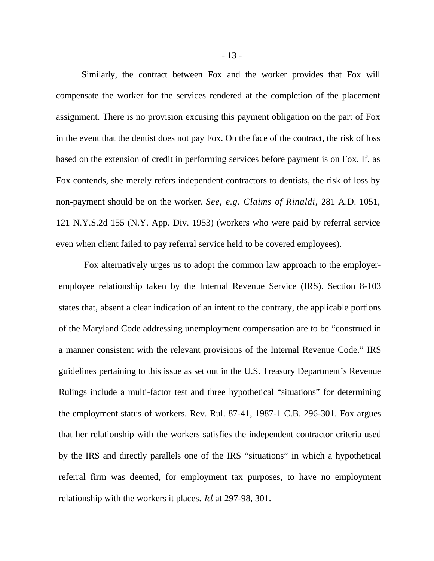Similarly, the contract between Fox and the worker provides that Fox will compensate the worker for the services rendered at the completion of the placement assignment. There is no provision excusing this payment obligation on the part of Fox in the event that the dentist does not pay Fox. On the face of the contract, the risk of loss based on the extension of credit in performing services before payment is on Fox. If, as Fox contends, she merely refers independent contractors to dentists, the risk of loss by non-payment should be on the worker. *See, e.g. Claims of Rinaldi,* 281 A.D. 1051, 121 N.Y.S.2d 155 (N.Y. App. Div. 1953) (workers who were paid by referral service even when client failed to pay referral service held to be covered employees).

Fox alternatively urges us to adopt the common law approach to the employeremployee relationship taken by the Internal Revenue Service (IRS). Section 8-103 states that, absent a clear indication of an intent to the contrary, the applicable portions of the Maryland Code addressing unemployment compensation are to be "construed in a manner consistent with the relevant provisions of the Internal Revenue Code." IRS guidelines pertaining to this issue as set out in the U.S. Treasury Department's Revenue Rulings include a multi-factor test and three hypothetical "situations" for determining the employment status of workers. Rev. Rul. 87-41, 1987-1 C.B. 296-301. Fox argues that her relationship with the workers satisfies the independent contractor criteria used by the IRS and directly parallels one of the IRS "situations" in which a hypothetical referral firm was deemed, for employment tax purposes, to have no employment relationship with the workers it places. *Id* at 297-98, 301.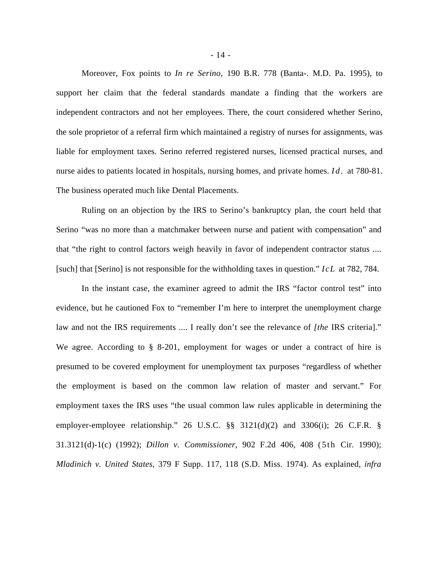Moreover, Fox points to *In re Serino,* 190 B.R. 778 (Banta-. M.D. Pa. 1995), to support her claim that the federal standards mandate a finding that the workers are independent contractors and not her employees. There, the court considered whether Serino, the sole proprietor of a referral firm which maintained a registry of nurses for assignments, was liable for employment taxes. Serino referred registered nurses, licensed practical nurses, and nurse aides to patients located in hospitals, nursing homes, and private homes. *Id.* at 780-81. The business operated much like Dental Placements.

Ruling on an objection by the IRS to Serino's bankruptcy plan, the court held that Serino "was no more than a matchmaker between nurse and patient with compensation" and that "the right to control factors weigh heavily in favor of independent contractor status .... [such] that [Serino] is not responsible for the withholding taxes in question." *IcL* at 782, 784.

In the instant case, the examiner agreed to admit the IRS "factor control test" into evidence, but he cautioned Fox to "remember I'm here to interpret the unemployment charge law and not the IRS requirements .... I really don't see the relevance of *[the* IRS criteria]." We agree. According to § 8-201, employment for wages or under a contract of hire is presumed to be covered employment for unemployment tax purposes "regardless of whether the employment is based on the common law relation of master and servant." For employment taxes the IRS uses "the usual common law rules applicable in determining the employer-employee relationship." 26 U.S.C. §§ 3121(d)(2) and 3306(i); 26 C.F.R. § 31.3121(d)-1(c) (1992); *Dillon v. Commissioner,* 902 F.2d 406, 408 (5th Cir. 1990); *Mladinich v. United States,* 379 F Supp. 117, 118 (S.D. Miss. 1974). As explained, *infra*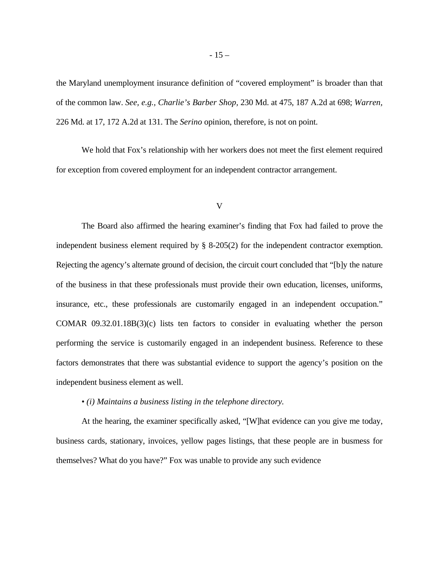the Maryland unemployment insurance definition of "covered employment" is broader than that of the common law. *See, e.g., Charlie's Barber Shop,* 230 Md. at 475, 187 A.2d at 698; *Warren,*  226 Md. at 17, 172 A.2d at 131. The *Serino* opinion, therefore, is not on point.

We hold that Fox's relationship with her workers does not meet the first element required for exception from covered employment for an independent contractor arrangement.

#### V

The Board also affirmed the hearing examiner's finding that Fox had failed to prove the independent business element required by § 8-205(2) for the independent contractor exemption. Rejecting the agency's alternate ground of decision, the circuit court concluded that "[b]y the nature of the business in that these professionals must provide their own education, licenses, uniforms, insurance, etc., these professionals are customarily engaged in an independent occupation." COMAR 09.32.01.18B(3)(c) lists ten factors to consider in evaluating whether the person performing the service is customarily engaged in an independent business. Reference to these factors demonstrates that there was substantial evidence to support the agency's position on the independent business element as well.

### • *(i) Maintains a business listing in the telephone directory.*

At the hearing, the examiner specifically asked, "[W]hat evidence can you give me today, business cards, stationary, invoices, yellow pages listings, that these people are in busmess for themselves? What do you have?" Fox was unable to provide any such evidence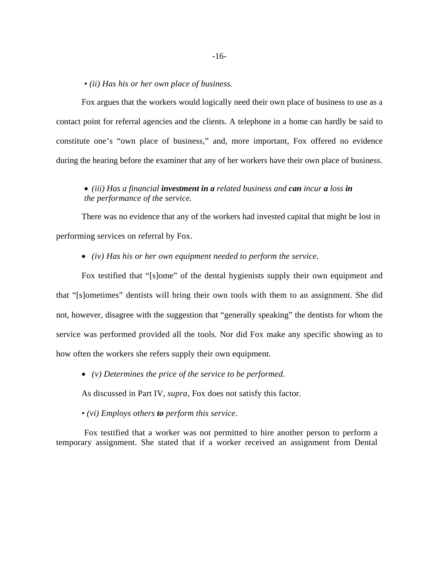*• (ii) Has his or her own place of business.* 

Fox argues that the workers would logically need their own place of business to use as a contact point for referral agencies and the clients. A telephone in a home can hardly be said to constitute one's "own place of business," and, more important, Fox offered no evidence during the hearing before the examiner that any of her workers have their own place of business.

### • *(iii) Has a financial investment in a related business and can incur a loss in the performance of the service.*

There was no evidence that any of the workers had invested capital that might be lost in performing services on referral by Fox.

• *(iv) Has his or her own equipment needed to perform the service.* 

Fox testified that "[s]ome" of the dental hygienists supply their own equipment and that "[s]ometimes" dentists will bring their own tools with them to an assignment. She did not, however, disagree with the suggestion that "generally speaking" the dentists for whom the service was performed provided all the tools. Nor did Fox make any specific showing as to how often the workers she refers supply their own equipment.

• *(v) Determines the price of the service to be performed.* 

As discussed in Part IV, *supra,* Fox does not satisfy this factor.

*• (vi) Employs others to perform this service.* 

Fox testified that a worker was not permitted to hire another person to perform a temporary assignment. She stated that if a worker received an assignment from Dental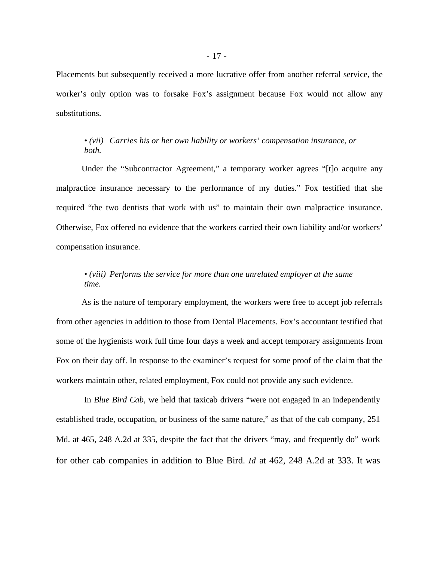Placements but subsequently received a more lucrative offer from another referral service, the worker's only option was to forsake Fox's assignment because Fox would not allow any substitutions.

### *• (vii) Carries his or her own liability or workers' compensation insurance, or both.*

Under the "Subcontractor Agreement," a temporary worker agrees "[t]o acquire any malpractice insurance necessary to the performance of my duties." Fox testified that she required "the two dentists that work with us" to maintain their own malpractice insurance. Otherwise, Fox offered no evidence that the workers carried their own liability and/or workers' compensation insurance.

# *• (viii) Performs the service for more than one unrelated employer at the same time.*

As is the nature of temporary employment, the workers were free to accept job referrals from other agencies in addition to those from Dental Placements. Fox's accountant testified that some of the hygienists work full time four days a week and accept temporary assignments from Fox on their day off. In response to the examiner's request for some proof of the claim that the workers maintain other, related employment, Fox could not provide any such evidence.

In *Blue Bird Cab,* we held that taxicab drivers "were not engaged in an independently established trade, occupation, or business of the same nature," as that of the cab company, 251 Md. at 465, 248 A.2d at 335, despite the fact that the drivers "may, and frequently do" work for other cab companies in addition to Blue Bird. *Id* at 462, 248 A.2d at 333. It was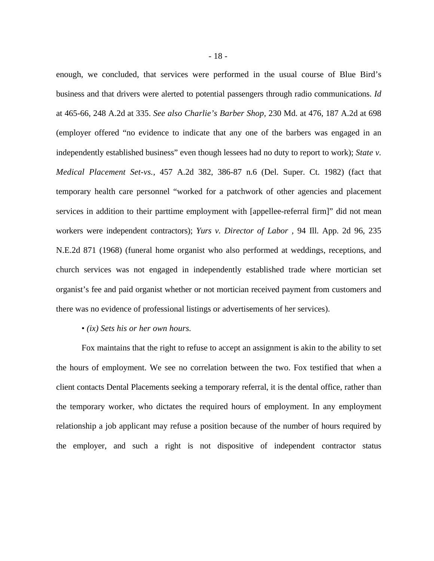enough, we concluded, that services were performed in the usual course of Blue Bird's business and that drivers were alerted to potential passengers through radio communications. *Id*  at 465-66, 248 A.2d at 335. *See also Charlie's Barber Shop,* 230 Md. at 476, 187 A.2d at 698 (employer offered "no evidence to indicate that any one of the barbers was engaged in an independently established business" even though lessees had no duty to report to work); *State v. Medical Placement Set-vs.,* 457 A.2d 382, 386-87 n.6 (Del. Super. Ct. 1982) (fact that temporary health care personnel "worked for a patchwork of other agencies and placement services in addition to their parttime employment with [appellee-referral firm]" did not mean workers were independent contractors); *Yurs v. Director of Labor ,* 94 Ill. App. 2d 96, 235 N.E.2d 871 (1968) (funeral home organist who also performed at weddings, receptions, and church services was not engaged in independently established trade where mortician set organist's fee and paid organist whether or not mortician received payment from customers and there was no evidence of professional listings or advertisements of her services).

### • *(ix) Sets his or her own hours.*

Fox maintains that the right to refuse to accept an assignment is akin to the ability to set the hours of employment. We see no correlation between the two. Fox testified that when a client contacts Dental Placements seeking a temporary referral, it is the dental office, rather than the temporary worker, who dictates the required hours of employment. In any employment relationship a job applicant may refuse a position because of the number of hours required by the employer, and such a right is not dispositive of independent contractor status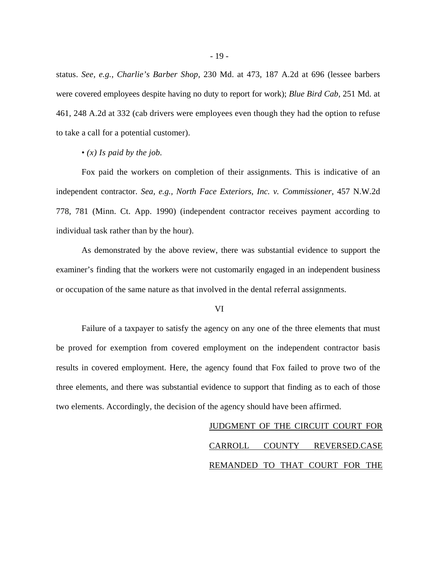status. *See, e.g., Charlie's Barber Shop,* 230 Md. at 473, 187 A.2d at 696 (lessee barbers were covered employees despite having no duty to report for work); *Blue Bird Cab,* 251 Md. at 461, 248 A.2d at 332 (cab drivers were employees even though they had the option to refuse to take a call for a potential customer).

### • *(x) Is paid by the job.*

Fox paid the workers on completion of their assignments. This is indicative of an independent contractor. *Sea, e.g., North Face Exteriors, Inc. v. Commissioner,* 457 N.W.2d 778, 781 (Minn. Ct. App. 1990) (independent contractor receives payment according to individual task rather than by the hour).

As demonstrated by the above review, there was substantial evidence to support the examiner's finding that the workers were not customarily engaged in an independent business or occupation of the same nature as that involved in the dental referral assignments.

### VI

Failure of a taxpayer to satisfy the agency on any one of the three elements that must be proved for exemption from covered employment on the independent contractor basis results in covered employment. Here, the agency found that Fox failed to prove two of the three elements, and there was substantial evidence to support that finding as to each of those two elements. Accordingly, the decision of the agency should have been affirmed.

> JUDGMENT OF THE CIRCUIT COURT FOR CARROLL COUNTY REVERSED.CASE REMANDED TO THAT COURT FOR THE